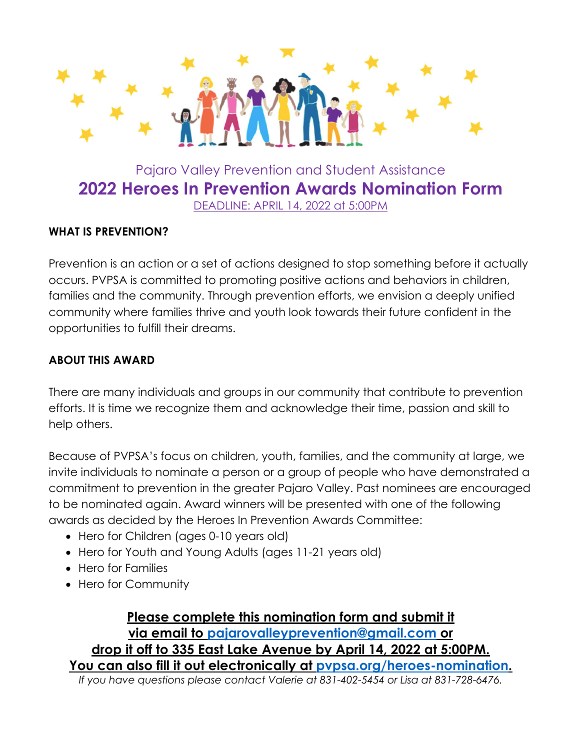

**2022 Heroes In Prevention Awards Nomination Form**

DEADLINE: APRIL 14, 2022 at 5:00PM

## **WHAT IS PREVENTION?**

Prevention is an action or a set of actions designed to stop something before it actually occurs. PVPSA is committed to promoting positive actions and behaviors in children, families and the community. Through prevention efforts, we envision a deeply unified community where families thrive and youth look towards their future confident in the opportunities to fulfill their dreams.

## **ABOUT THIS AWARD**

There are many individuals and groups in our community that contribute to prevention efforts. It is time we recognize them and acknowledge their time, passion and skill to help others.

Because of PVPSA's focus on children, youth, families, and the community at large, we invite individuals to nominate a person or a group of people who have demonstrated a commitment to prevention in the greater Pajaro Valley. Past nominees are encouraged to be nominated again. Award winners will be presented with one of the following awards as decided by the Heroes In Prevention Awards Committee:

- Hero for Children (ages 0-10 years old)
- Hero for Youth and Young Adults (ages 11-21 years old)
- Hero for Families
- Hero for Community

**Please complete this nomination form and submit it via email to pajarovalleyprevention@gmail.com or drop it off to 335 East Lake Avenue by April 14, 2022 at 5:00PM. You can also fill it out electronically at pvpsa.org/heroes-nomination.** *If you have questions please contact Valerie at 831-402-5454 or Lisa at 831-728-6476.*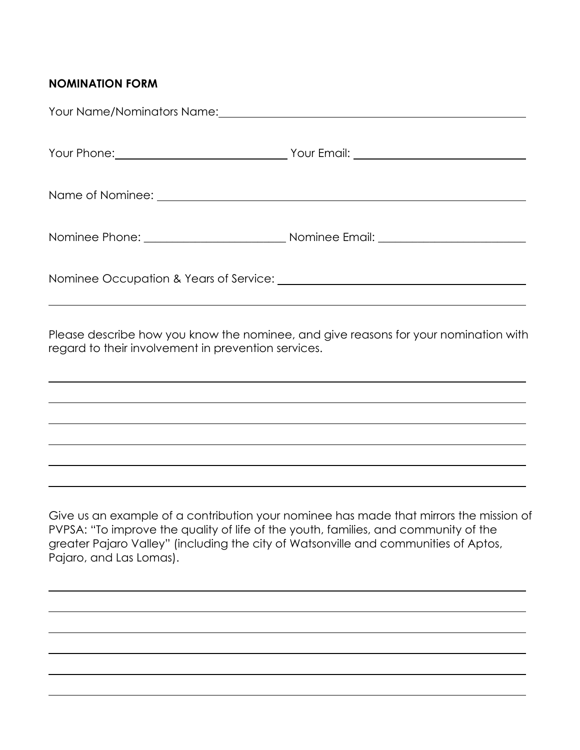## **NOMINATION FORM**

| Your Name/Nominators Name: \\community \\contact \\contact Name \\contact Name : |  |
|----------------------------------------------------------------------------------|--|
|                                                                                  |  |
|                                                                                  |  |
|                                                                                  |  |
|                                                                                  |  |
|                                                                                  |  |

Please describe how you know the nominee, and give reasons for your nomination with regard to their involvement in prevention services.

Give us an example of a contribution your nominee has made that mirrors the mission of PVPSA: "To improve the quality of life of the youth, families, and community of the greater Pajaro Valley" (including the city of Watsonville and communities of Aptos, Pajaro, and Las Lomas).